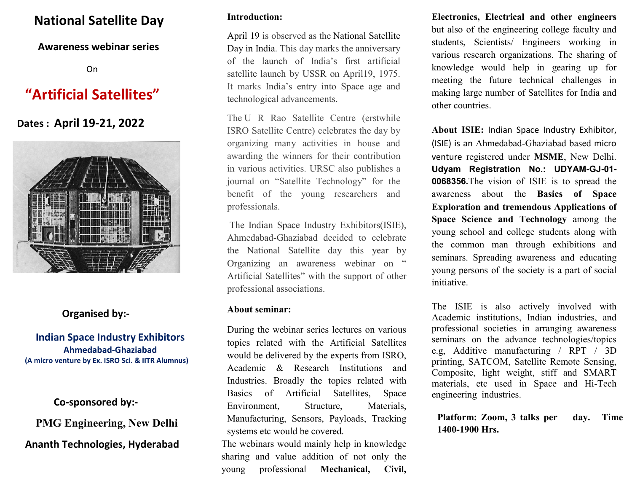# National Satellite Day

### Awareness webinar series

On

# "Artificial Satellites"

# Dates : April 19-21, 2022



## Organised by:-

### Indian Space Industry Exhibitors Ahmedabad-Ghaziabad (A micro venture by Ex. ISRO Sci. & IITR Alumnus)

### Co-sponsored by:-

PMG Engineering, New Delhi

### Ananth Technologies, Hyderabad

#### Introduction:

April 19 is observed as the National Satellite Day in India. This day marks the anniversary of the launch of India's first artificial satellite launch by USSR on April19, 1975. It marks India's entry into Space age and technological advancements.

The U R Rao Satellite Centre (erstwhile ISRO Satellite Centre) celebrates the day by organizing many activities in house and awarding the winners for their contribution in various activities. URSC also publishes a journal on "Satellite Technology" for the benefit of the young researchers and professionals.

 The Indian Space Industry Exhibitors(ISIE), Ahmedabad-Ghaziabad decided to celebrate the National Satellite day this year by Organizing an awareness webinar on " Artificial Satellites" with the support of other professional associations.

#### About seminar:

During the webinar series lectures on various topics related with the Artificial Satellites would be delivered by the experts from ISRO, Academic & Research Institutions and Industries. Broadly the topics related with Basics of Artificial Satellites, Space Environment, Structure, Materials, Manufacturing, Sensors, Payloads, Tracking systems etc would be covered.

The webinars would mainly help in knowledge sharing and value addition of not only the young professional Mechanical, Civil,

Electronics, Electrical and other engineers but also of the engineering college faculty and students, Scientists/ Engineers working in various research organizations. The sharing of knowledge would help in gearing up for meeting the future technical challenges in making large number of Satellites for India and other countries.

About ISIE: Indian Space Industry Exhibitor, (ISIE) is an Ahmedabad-Ghaziabad based micro venture registered under MSME, New Delhi. Udyam Registration No.: UDYAM-GJ-01- 0068356.The vision of ISIE is to spread the awareness about the Basics of Space Exploration and tremendous Applications of Space Science and Technology among the young school and college students along with the common man through exhibitions and seminars. Spreading awareness and educating young persons of the society is a part of social initiative.

The ISIE is also actively involved with Academic institutions, Indian industries, and professional societies in arranging awareness seminars on the advance technologies/topics e.g, Additive manufacturing / RPT / 3D printing, SATCOM, Satellite Remote Sensing, Composite, light weight, stiff and SMART materials, etc used in Space and Hi-Tech engineering industries.

Platform: Zoom, 3 talks per day. Time 1400-1900 Hrs.